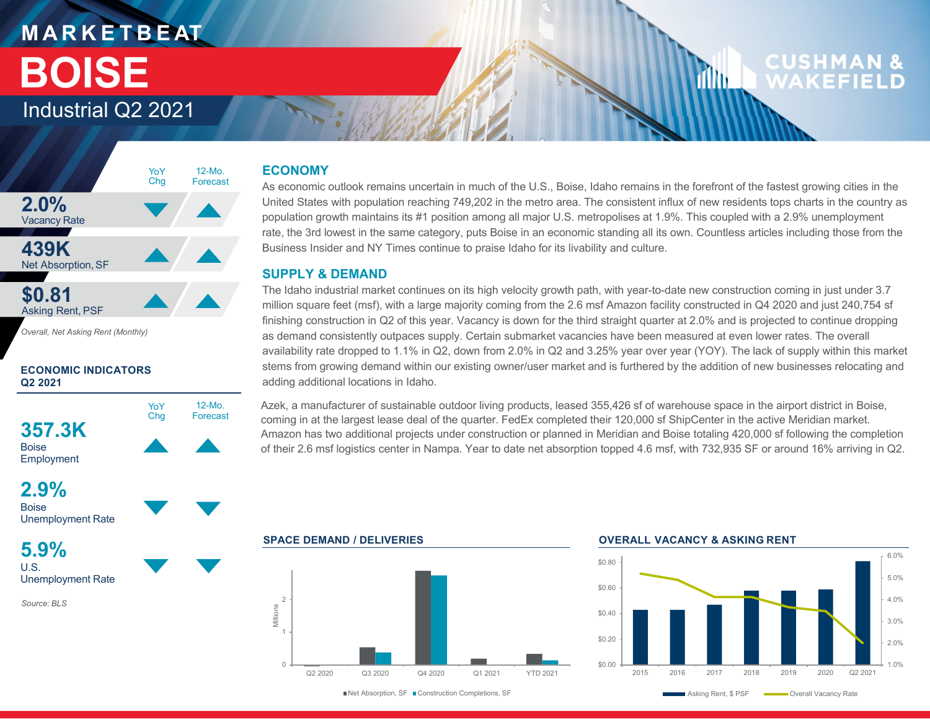### **M A R K E T B E AT** Industrial Q2 2021 **BOISE**

### **CUSHMAN WAKFFII**



*Overall, Net Asking Rent (Monthly)*

#### **ECONOMIC INDICATORS Q2 2021**



### **2.9%**

**Boise** Unemployment Rate

**5.9%**U.S.Unemployment Rate

*Source: BLS*

### **ECONOMY**

As economic outlook remains uncertain in much of the U.S., Boise, Idaho remains in the forefront of the fastest growing cities in the United States with population reaching 749,202 in the metro area. The consistent influx of new residents tops charts in the country as population growth maintains its #1 position among all major U.S. metropolises at 1.9%. This coupled with a 2.9% unemployment rate, the 3rd lowest in the same category, puts Boise in an economic standing all its own. Countless articles including those from the Business Insider and NY Times continue to praise Idaho for its livability and culture.

#### **SUPPLY & DEMAND**

The Idaho industrial market continues on its high velocity growth path, with year-to-date new construction coming in just under 3.7 million square feet (msf), with a large majority coming from the 2.6 msf Amazon facility constructed in Q4 2020 and just 240,754 sf finishing construction in Q2 of this year. Vacancy is down for the third straight quarter at 2.0% and is projected to continue dropping as demand consistently outpaces supply. Certain submarket vacancies have been measured at even lower rates. The overall availability rate dropped to 1.1% in Q2, down from 2.0% in Q2 and 3.25% year over year (YOY). The lack of supply within this market stems from growing demand within our existing owner/user market and is furthered by the addition of new businesses relocating and adding additional locations in Idaho.

Azek, a manufacturer of sustainable outdoor living products, leased 355,426 sf of warehouse space in the airport district in Boise, coming in at the largest lease deal of the quarter. FedEx completed their 120,000 sf ShipCenter in the active Meridian market. Amazon has two additional projects under construction or planned in Meridian and Boise totaling 420,000 sf following the completion of their 2.6 msf logistics center in Nampa. Year to date net absorption topped 4.6 msf, with 732,935 SF or around 16% arriving in Q2.

**SPACE DEMAND / DELIVERIES OVERALL VACANCY & ASKING RENT** $\cap$ 2Q2 2020 Q3 2020 Q4 2020 Q1 2021 YTD 2021Millions

Net Absorption, SF Construction Completions, SF

ıllır

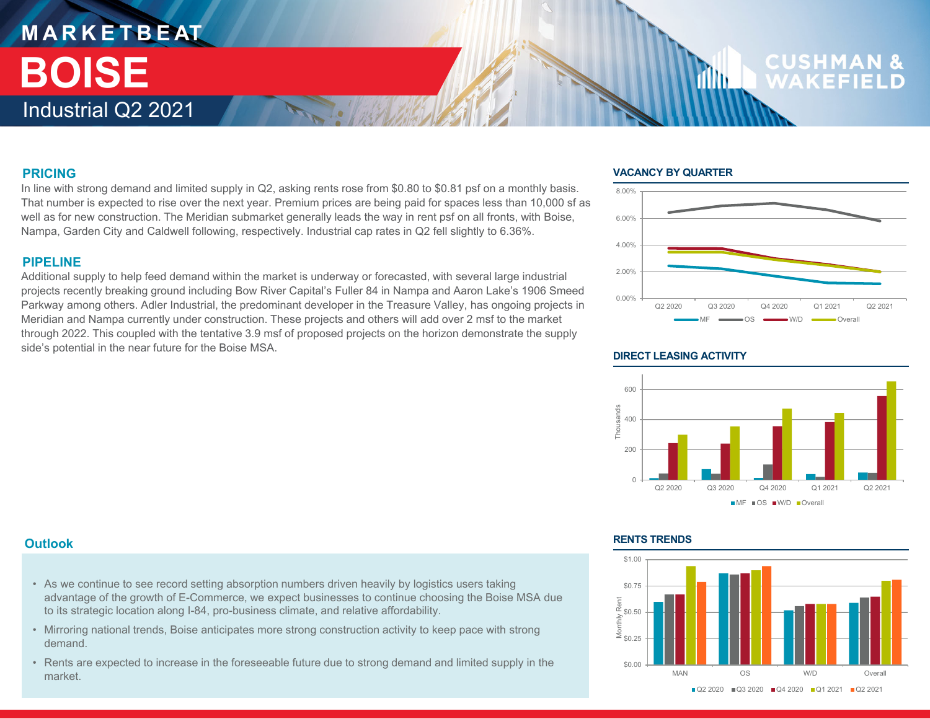### **M A R K E T B E AT** Industrial Q2 2021 **BOISE**

## **CUSHM**

#### **PRICING**

In line with strong demand and limited supply in Q2, asking rents rose from \$0.80 to \$0.81 psf on a monthly basis. That number is expected to rise over the next year. Premium prices are being paid for spaces less than 10,000 sf as well as for new construction. The Meridian submarket generally leads the way in rent psf on all fronts, with Boise, Nampa, Garden City and Caldwell following, respectively. Industrial cap rates in Q2 fell slightly to 6.36%.

#### **PIPELINE**

Additional supply to help feed demand within the market is underway or forecasted, with several large industrial projects recently breaking ground including Bow River Capital's Fuller 84 in Nampa and Aaron Lake's 1906 Smeed Parkway among others. Adler Industrial, the predominant developer in the Treasure Valley, has ongoing projects in Meridian and Nampa currently under construction. These projects and others will add over 2 msf to the market through 2022. This coupled with the tentative 3.9 msf of proposed projects on the horizon demonstrate the supply side's potential in the near future for the Boise MSA.

#### **VACANCY BY QUARTER**

1Mb



#### **DIRECT LEASING ACTIVITY**



#### **Outlook**

- As we continue to see record setting absorption numbers driven heavily by logistics users taking advantage of the growth of E-Commerce, we expect businesses to continue choosing the Boise MSA due to its strategic location along I-84, pro-business climate, and relative affordability.
- Mirroring national trends, Boise anticipates more strong construction activity to keep pace with strong demand.
- Rents are expected to increase in the foreseeable future due to strong demand and limited supply in the market.

#### **RENTS TRENDS**

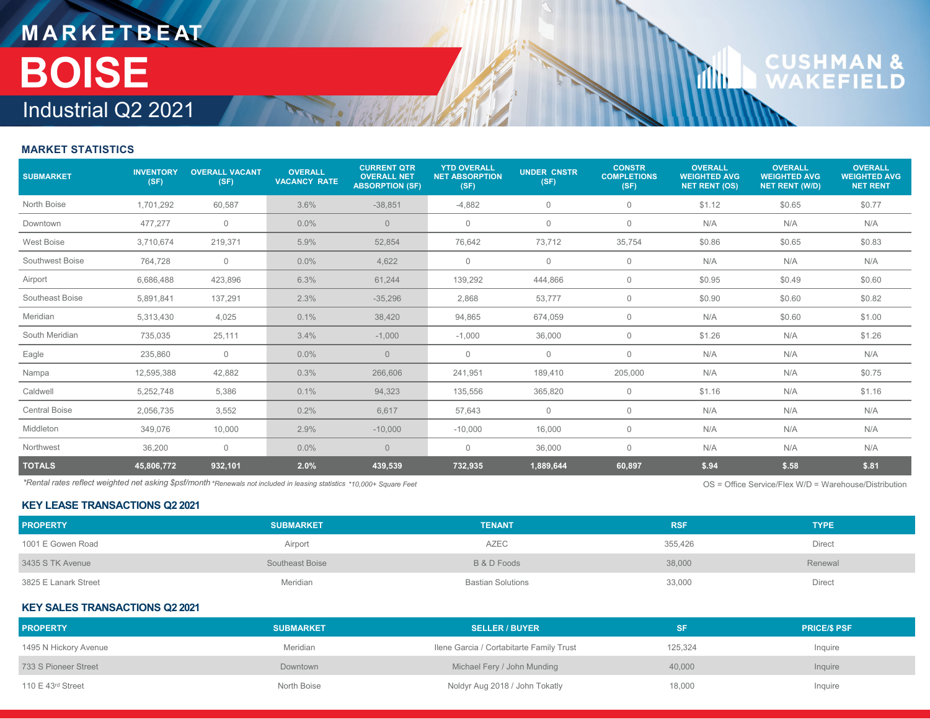## **M A R K E T B E AT** Industrial Q2 2021 **BOISE**

# **CUSHMAN &**<br>WAKEFIELD

**Tillu** 

#### **MARKET STATISTICS**

| <b>SUBMARKET</b>     | <b>INVENTORY</b><br>(SF) | <b>OVERALL VACANT</b><br>(SF) | <b>OVERALL</b><br><b>VACANCY RATE</b> | <b>CURRENT QTR</b><br><b>OVERALL NET</b><br><b>ABSORPTION (SF)</b> | <b>YTD OVERALL</b><br><b>NET ABSORPTION</b><br>(SF) | <b>UNDER CNSTR</b><br>(SF) | <b>CONSTR</b><br><b>COMPLETIONS</b><br>(SF) | <b>OVERALL</b><br><b>WEIGHTED AVG</b><br>NET RENT (OS) | <b>OVERALL</b><br><b>WEIGHTED AVG</b><br><b>NET RENT (W/D)</b> | <b>OVERALL</b><br><b>WEIGHTED AVG</b><br><b>NET RENT</b> |
|----------------------|--------------------------|-------------------------------|---------------------------------------|--------------------------------------------------------------------|-----------------------------------------------------|----------------------------|---------------------------------------------|--------------------------------------------------------|----------------------------------------------------------------|----------------------------------------------------------|
| North Boise          | 1,701,292                | 60,587                        | 3.6%                                  | $-38,851$                                                          | $-4,882$                                            | $\mathbf 0$                | 0                                           | \$1.12                                                 | \$0.65                                                         | \$0.77                                                   |
| Downtown             | 477,277                  | $\mathbf 0$                   | 0.0%                                  | $\overline{0}$                                                     | $\mathbf{0}$                                        | $\mathbf 0$                | 0                                           | N/A                                                    | N/A                                                            | N/A                                                      |
| West Boise           | 3,710,674                | 219,371                       | 5.9%                                  | 52,854                                                             | 76,642                                              | 73,712                     | 35,754                                      | \$0.86                                                 | \$0.65                                                         | \$0.83                                                   |
| Southwest Boise      | 764,728                  | $\mathbf 0$                   | $0.0\%$                               | 4,622                                                              | $\mathbf 0$                                         | $\mathbf 0$                | 0                                           | N/A                                                    | N/A                                                            | N/A                                                      |
| Airport              | 6,686,488                | 423,896                       | 6.3%                                  | 61,244                                                             | 139,292                                             | 444,866                    | $\mathbf 0$                                 | \$0.95                                                 | \$0.49                                                         | \$0.60                                                   |
| Southeast Boise      | 5,891,841                | 137,291                       | 2.3%                                  | $-35,296$                                                          | 2,868                                               | 53,777                     | $\mathbf{0}$                                | \$0.90                                                 | \$0.60                                                         | \$0.82                                                   |
| Meridian             | 5,313,430                | 4,025                         | 0.1%                                  | 38,420                                                             | 94,865                                              | 674,059                    | $\mathbf{0}$                                | N/A                                                    | \$0.60                                                         | \$1.00                                                   |
| South Meridian       | 735,035                  | 25,111                        | 3.4%                                  | $-1,000$                                                           | $-1,000$                                            | 36,000                     | 0                                           | \$1.26                                                 | N/A                                                            | \$1.26                                                   |
| Eagle                | 235,860                  | $\mathbf 0$                   | $0.0\%$                               | $\overline{0}$                                                     | $\mathbf 0$                                         | $\mathbf 0$                | $\mathbf{0}$                                | N/A                                                    | N/A                                                            | N/A                                                      |
| Nampa                | 12,595,388               | 42,882                        | 0.3%                                  | 266,606                                                            | 241,951                                             | 189,410                    | 205,000                                     | N/A                                                    | N/A                                                            | \$0.75                                                   |
| Caldwell             | 5,252,748                | 5,386                         | 0.1%                                  | 94,323                                                             | 135,556                                             | 365,820                    | $\mathbf 0$                                 | \$1.16                                                 | N/A                                                            | \$1.16                                                   |
| <b>Central Boise</b> | 2,056,735                | 3,552                         | 0.2%                                  | 6,617                                                              | 57,643                                              | $\mathbf 0$                | $\mathbf{0}$                                | N/A                                                    | N/A                                                            | N/A                                                      |
| Middleton            | 349,076                  | 10,000                        | 2.9%                                  | $-10,000$                                                          | $-10,000$                                           | 16,000                     | $\mathbf{0}$                                | N/A                                                    | N/A                                                            | N/A                                                      |
| Northwest            | 36,200                   | $\mathbf{0}$                  | $0.0\%$                               | $\overline{0}$                                                     | $\mathbf{0}$                                        | 36,000                     | $\mathbf{0}$                                | N/A                                                    | N/A                                                            | N/A                                                      |
| <b>TOTALS</b>        | 45,806,772               | 932,101                       | 2.0%                                  | 439,539                                                            | 732,935                                             | 1,889,644                  | 60,897                                      | \$.94                                                  | \$.58                                                          | \$.81                                                    |

*\*Rental rates reflect weighted net asking \$psf/month \*Renewals not included in leasing statistics* OS = Office Service/Flex W/D = Warehouse/Distribution*\*10,000+ Square Feet*

OS = Office Service/Flex W/D = Warehouse/Distribution

#### **KEY LEASE TRANSACTIONS Q2 2021**

| <b>PROPERTY</b>      | <b>SUBMARKET</b> | <b>TENANT</b>     | <b>RSF</b> | <b>TYPE</b>   |
|----------------------|------------------|-------------------|------------|---------------|
| 1001 E Gowen Road    | Airport          | AZEC              | 355,426    | Direct        |
| 3435 S TK Avenue     | Southeast Boise  | B & D Foods       | 38,000     | Renewal       |
| 3825 E Lanark Street | Meridian         | Bastian Solutions | 33,000     | <b>Direct</b> |

#### **KEY SALES TRANSACTIONS Q2 2021**

| <b>PROPERTY</b>                 | <b>SUBMARKET</b> | <b>SELLER / BUYER</b>                    |         | <b>PRICE/S PSF</b> |
|---------------------------------|------------------|------------------------------------------|---------|--------------------|
| 1495 N Hickory Avenue           | Meridian         | Ilene Garcia / Cortabitarte Family Trust | 125,324 | Inquire            |
| 733 S Pioneer Street            | Downtown         | Michael Fery / John Munding              | 40,000  | Inquire            |
| 110 $E$ 43 <sup>rd</sup> Street | North Boise      | Noldyr Aug 2018 / John Tokatly           | 18,000  | Inquire            |